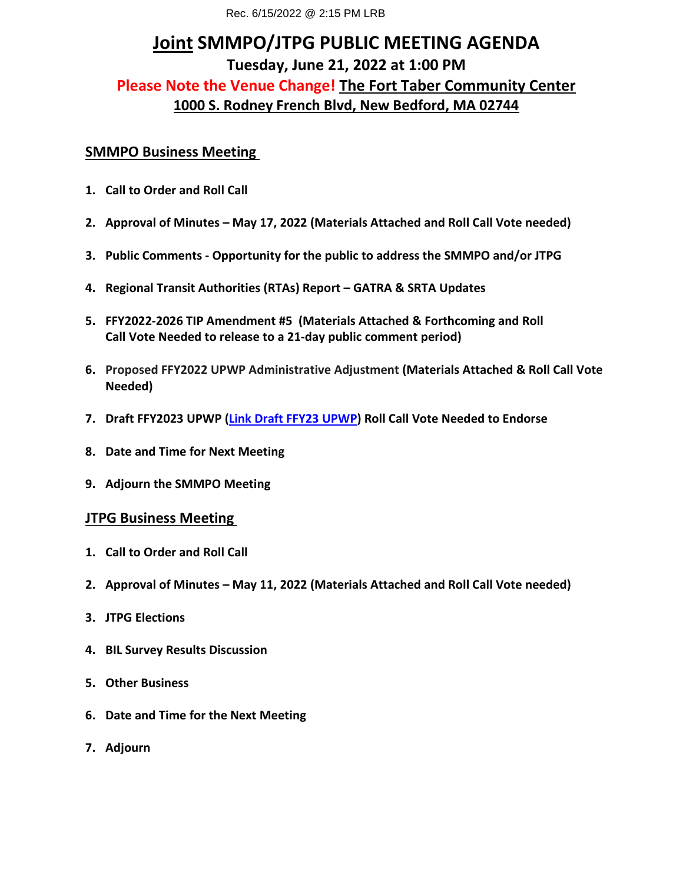# **Joint SMMPO/JTPG PUBLIC MEETING AGENDA Please Note the Venue Change! The Fort Taber Community Center Tuesday, June 21, 2022 at 1:00 PM 1000 S. Rodney French Blvd, New Bedford, MA 02744**

### **SMMPO Business Meeting**

- 1. Call to Order and Roll Call
- 1. Call to Order and Roll Call<br>2. Approval of Minutes May 17, 2022 (Materials Attached and Roll Call Vote needed)
- **3. Public Comments - Opportunity for the public to address the SMMPO and/or JTPG**
- **4. Regional Transit Authorities (RTAs) Report GATRA & SRTA Updates**
- **Call Vote Needed to release to a 21-day public comment period) 5. FFY2022-2026 TIP Amendment #5 (Materials Attached & Forthcoming and Roll**
- **6. Proposed FFY2022 UPWP Administrative Adjustment (Materials Attached & Roll Call Vote Needed)**
- **7. Draft FFY2023 UPWP [\(Link Draft FFY23 UPWP\)](https://srpedd.s3.amazonaws.com/wp-content/uploads/2022/05/10060849/DRAFT-FFY2023-UPWP-May-17-2022-A.pdf) Roll Call Vote Needed to Endorse**
- 
- **8. Date and Time for Next Meeting 9. Adjourn the SMMPO Meeting**

## **JTPG Business Meeting**

- 1. Call to Order and Roll Call
- 1. Call to Order and Roll Call<br>2. Approval of Minutes May 11, 2022 (Materials Attached and Roll Call Vote needed)
- **3. JTPG Elections**
- **4. BIL Survey Results Discussion**
- **5. Other Business**
- **6. Date and Time for the Next Meeting**
- **7. Adjourn**